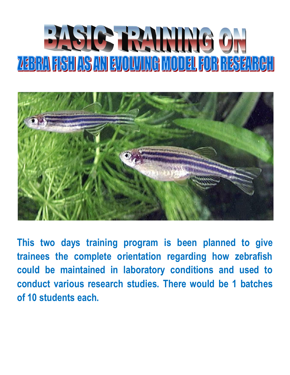



**This two days training program is been planned to give trainees the complete orientation regarding how zebrafish could be maintained in laboratory conditions and used to conduct various research studies. There would be 1 batches of 10 students each.**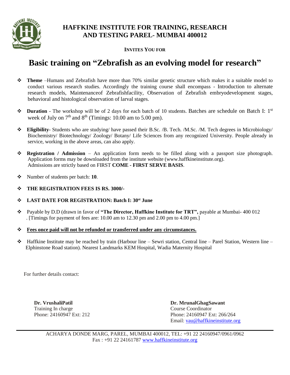

## **HAFFKINE INSTITUTE FOR TRAINING, RESEARCH AND TESTING PAREL- MUMBAI 400012**

**INVITES YOU FOR**

# **Basic training on "Zebrafish as an evolving model for research"**

- **Theme** –Humans and Zebrafish have more than 70% similar genetic structure which makes it a suitable model to conduct various research studies. Accordingly the training course shall encompass - Introduction to alternate research models, Maintenanceof Zebrafishfacility, Observation of Zebrafish embryodevelopment stages, behavioral and histological observation of larval stages.
- $\bullet$  Duration The workshop will be of 2 days for each batch of 10 students. Batches are schedule on Batch I: 1<sup>st</sup> week of July on  $7<sup>th</sup>$  and  $8<sup>th</sup>$  (Timings: 10.00 am to 5.00 pm).
- **Eligibility** Students who are studying/ have passed their B.Sc. /B. Tech. /M.Sc. /M. Tech degrees in Microbiology/ Biochemistry/ Biotechnology/ Zoology/ Botany/ Life Sciences from any recognized University. People already in service, working in the above areas, can also apply.
- **Registration / Admission**  An application form needs to be filled along with a passport size photograph. Application forms may be downloaded from the institute website (www.haffkineinstitute.org). Admissions are strictly based on FIRST **COME - FIRST SERVE BASIS**.
- \* Number of students per batch: **10**.
- **THE REGISTRATION FEES IS RS. 3000/-**

#### **LAST DATE FOR REGISTRATION: Batch I: 30st June**

- Payable by D.D (drawn in favor of **"The Director, Haffkine Institute for TRT",** payable at Mumbai- 400 012 . [Timings for payment of fees are: 10.00 am to 12.30 pm and 2.00 pm to 4.00 pm.]
- **Fees once paid will not be refunded or transferred under any circumstances.**
- $\bullet$  Haffkine Institute may be reached by train (Harbour line Sewri station, Central line Parel Station, Western line Elphinstone Road station). Nearest Landmarks KEM Hospital, Wadia Maternity Hospital

For further details contact:

Training In charge Course Course Coordinator

**Dr. VrushaliPatil Dr. MrunalGhagSawant** Phone: 24160947 Ext: 212 Phone: 24160947 Ext: 266/264 Email: vau[@haffkineinstitute.o](mailto:haffkineinstitute@gmail.com)rg